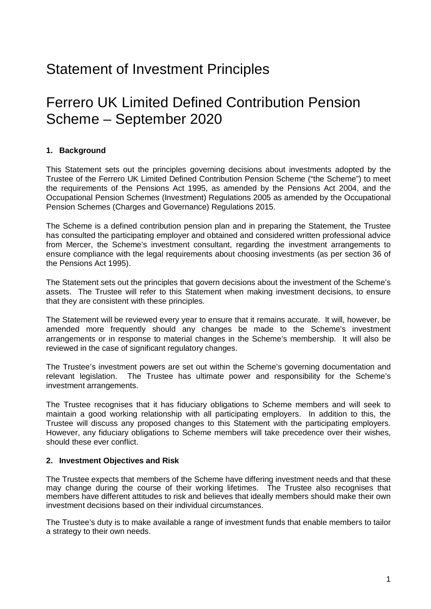## Statement of Investment Principles

## Ferrero UK Limited Defined Contribution Pension Scheme – September 2020

## **1. Background**

This Statement sets out the principles governing decisions about investments adopted by the Trustee of the Ferrero UK Limited Defined Contribution Pension Scheme ("the Scheme") to meet the requirements of the Pensions Act 1995, as amended by the Pensions Act 2004, and the Occupational Pension Schemes (Investment) Regulations 2005 as amended by the Occupational Pension Schemes (Charges and Governance) Regulations 2015.

The Scheme is a defined contribution pension plan and in preparing the Statement, the Trustee has consulted the participating employer and obtained and considered written professional advice from Mercer, the Scheme's investment consultant, regarding the investment arrangements to ensure compliance with the legal requirements about choosing investments (as per section 36 of the Pensions Act 1995).

The Statement sets out the principles that govern decisions about the investment of the Scheme's assets. The Trustee will refer to this Statement when making investment decisions, to ensure that they are consistent with these principles.

The Statement will be reviewed every year to ensure that it remains accurate. It will, however, be amended more frequently should any changes be made to the Scheme's investment arrangements or in response to material changes in the Scheme's membership. It will also be reviewed in the case of significant regulatory changes.

The Trustee's investment powers are set out within the Scheme's governing documentation and relevant legislation. The Trustee has ultimate power and responsibility for the Scheme's investment arrangements.

The Trustee recognises that it has fiduciary obligations to Scheme members and will seek to maintain a good working relationship with all participating employers. In addition to this, the Trustee will discuss any proposed changes to this Statement with the participating employers. However, any fiduciary obligations to Scheme members will take precedence over their wishes, should these ever conflict.

#### **2. Investment Objectives and Risk**

The Trustee expects that members of the Scheme have differing investment needs and that these may change during the course of their working lifetimes. The Trustee also recognises that members have different attitudes to risk and believes that ideally members should make their own investment decisions based on their individual circumstances.

The Trustee's duty is to make available a range of investment funds that enable members to tailor a strategy to their own needs.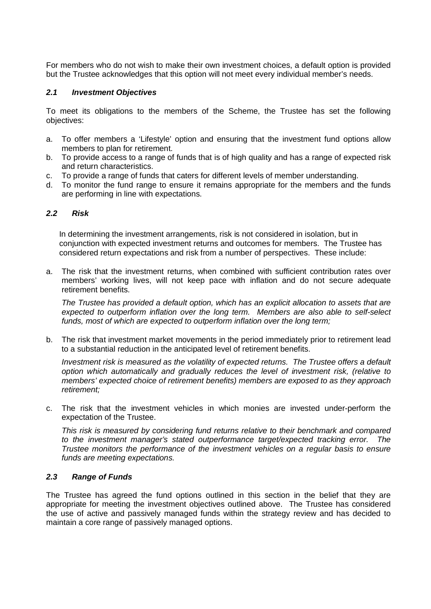For members who do not wish to make their own investment choices, a default option is provided but the Trustee acknowledges that this option will not meet every individual member's needs.

#### *2.1 Investment Objectives*

To meet its obligations to the members of the Scheme, the Trustee has set the following objectives:

- a. To offer members a 'Lifestyle' option and ensuring that the investment fund options allow members to plan for retirement.
- b. To provide access to a range of funds that is of high quality and has a range of expected risk and return characteristics.
- c. To provide a range of funds that caters for different levels of member understanding.
- d. To monitor the fund range to ensure it remains appropriate for the members and the funds are performing in line with expectations.

#### *2.2 Risk*

In determining the investment arrangements, risk is not considered in isolation, but in conjunction with expected investment returns and outcomes for members. The Trustee has considered return expectations and risk from a number of perspectives. These include:

a. The risk that the investment returns, when combined with sufficient contribution rates over members' working lives, will not keep pace with inflation and do not secure adequate retirement benefits.

*The Trustee has provided a default option, which has an explicit allocation to assets that are expected to outperform inflation over the long term. Members are also able to self-select funds, most of which are expected to outperform inflation over the long term;*

b. The risk that investment market movements in the period immediately prior to retirement lead to a substantial reduction in the anticipated level of retirement benefits.

*Investment risk is measured as the volatility of expected returns. The Trustee offers a default option which automatically and gradually reduces the level of investment risk, (relative to members' expected choice of retirement benefits) members are exposed to as they approach retirement;*

c. The risk that the investment vehicles in which monies are invested under-perform the expectation of the Trustee.

*This risk is measured by considering fund returns relative to their benchmark and compared to the investment manager's stated outperformance target/expected tracking error. The Trustee monitors the performance of the investment vehicles on a regular basis to ensure funds are meeting expectations.*

#### *2.3 Range of Funds*

The Trustee has agreed the fund options outlined in this section in the belief that they are appropriate for meeting the investment objectives outlined above. The Trustee has considered the use of active and passively managed funds within the strategy review and has decided to maintain a core range of passively managed options.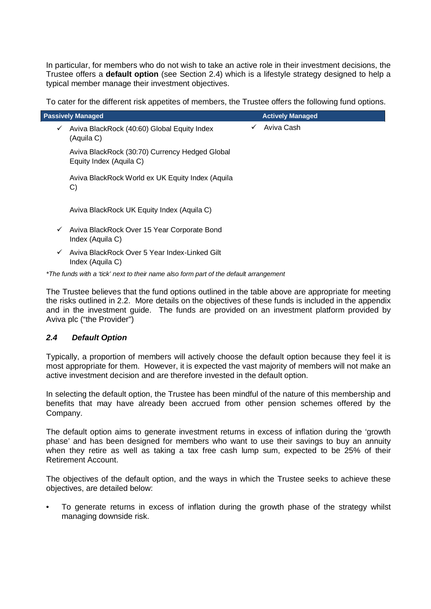In particular, for members who do not wish to take an active role in their investment decisions, the Trustee offers a **default option** (see Section 2.4) which is a lifestyle strategy designed to help a typical member manage their investment objectives.

To cater for the different risk appetites of members, the Trustee offers the following fund options.

| <b>Passively Managed</b> |                                                                           |              | <b>Actively Managed</b> |
|--------------------------|---------------------------------------------------------------------------|--------------|-------------------------|
| $\checkmark$             | Aviva BlackRock (40:60) Global Equity Index<br>(Aquila C)                 | $\checkmark$ | Aviva Cash              |
|                          | Aviva BlackRock (30:70) Currency Hedged Global<br>Equity Index (Aquila C) |              |                         |
|                          | Aviva BlackRock World ex UK Equity Index (Aquila<br>$\mathbf{C}$          |              |                         |
|                          | Aviva BlackRock UK Equity Index (Aquila C)                                |              |                         |
| $\checkmark$             | Aviva BlackRock Over 15 Year Corporate Bond<br>Index (Aquila C)           |              |                         |
| ✓                        | Aviva BlackRock Over 5 Year Index-Linked Gilt<br>Index (Aquila C)         |              |                         |

*\*The funds with a 'tick' next to their name also form part of the default arrangement*

The Trustee believes that the fund options outlined in the table above are appropriate for meeting the risks outlined in 2.2. More details on the objectives of these funds is included in the appendix and in the investment guide. The funds are provided on an investment platform provided by Aviva plc ("the Provider")

## *2.4 Default Option*

Typically, a proportion of members will actively choose the default option because they feel it is most appropriate for them. However, it is expected the vast majority of members will not make an active investment decision and are therefore invested in the default option.

In selecting the default option, the Trustee has been mindful of the nature of this membership and benefits that may have already been accrued from other pension schemes offered by the Company.

The default option aims to generate investment returns in excess of inflation during the 'growth phase' and has been designed for members who want to use their savings to buy an annuity when they retire as well as taking a tax free cash lump sum, expected to be 25% of their Retirement Account.

The objectives of the default option, and the ways in which the Trustee seeks to achieve these objectives, are detailed below:

• To generate returns in excess of inflation during the growth phase of the strategy whilst managing downside risk.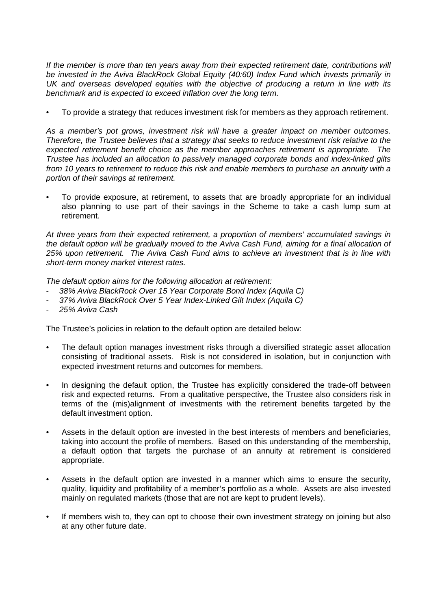*If the member is more than ten years away from their expected retirement date, contributions will be invested in the Aviva BlackRock Global Equity (40:60) Index Fund which invests primarily in UK and overseas developed equities with the objective of producing a return in line with its benchmark and is expected to exceed inflation over the long term.*

• To provide a strategy that reduces investment risk for members as they approach retirement.

*As a member's pot grows, investment risk will have a greater impact on member outcomes. Therefore, the Trustee believes that a strategy that seeks to reduce investment risk relative to the expected retirement benefit choice as the member approaches retirement is appropriate. The Trustee has included an allocation to passively managed corporate bonds and index-linked gilts from 10 years to retirement to reduce this risk and enable members to purchase an annuity with a portion of their savings at retirement.*

• To provide exposure, at retirement, to assets that are broadly appropriate for an individual also planning to use part of their savings in the Scheme to take a cash lump sum at retirement.

*At three years from their expected retirement, a proportion of members' accumulated savings in the default option will be gradually moved to the Aviva Cash Fund, aiming for a final allocation of 25% upon retirement. The Aviva Cash Fund aims to achieve an investment that is in line with short-term money market interest rates.*

*The default option aims for the following allocation at retirement:*

- *38% Aviva BlackRock Over 15 Year Corporate Bond Index (Aquila C)*
- *37% Aviva BlackRock Over 5 Year Index-Linked Gilt Index (Aquila C)*
- *25% Aviva Cash*

The Trustee's policies in relation to the default option are detailed below:

- The default option manages investment risks through a diversified strategic asset allocation consisting of traditional assets. Risk is not considered in isolation, but in conjunction with expected investment returns and outcomes for members.
- In designing the default option, the Trustee has explicitly considered the trade-off between risk and expected returns. From a qualitative perspective, the Trustee also considers risk in terms of the (mis)alignment of investments with the retirement benefits targeted by the default investment option.
- Assets in the default option are invested in the best interests of members and beneficiaries, taking into account the profile of members. Based on this understanding of the membership, a default option that targets the purchase of an annuity at retirement is considered appropriate.
- Assets in the default option are invested in a manner which aims to ensure the security, quality, liquidity and profitability of a member's portfolio as a whole. Assets are also invested mainly on regulated markets (those that are not are kept to prudent levels).
- If members wish to, they can opt to choose their own investment strategy on joining but also at any other future date.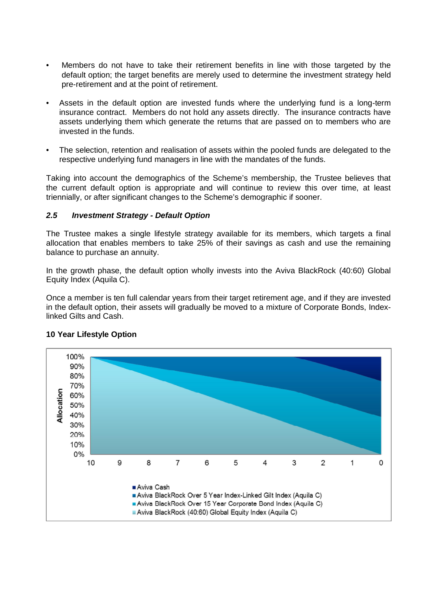- Members do not have to take their retirement benefits in line with those targeted by the default option; the target benefits are merely used to determine the investment strategy held pre-retirement and at the point of retirement.
- Assets in the default option are invested funds where the underlying fund is a long-term insurance contract. Members do not hold any assets directly. The insurance contracts have assets underlying them which generate the returns that are passed on to members who are invested in the funds.
- The selection, retention and realisation of assets within the pooled funds are delegated to the respective underlying fund managers in line with the mandates of the funds.

Taking into account the demographics of the Scheme's membership, the Trustee believes that the current default option is appropriate and will continue to review this over time, at least triennially, or after significant changes to the Scheme's demographic if sooner.

#### *2.5 Investment Strategy - Default Option*

The Trustee makes a single lifestyle strategy available for its members, which targets a final allocation that enables members to take 25% of their savings as cash and use the remaining balance to purchase an annuity.

In the growth phase, the default option wholly invests into the Aviva BlackRock (40:60) Global Equity Index (Aquila C).

Once a member is ten full calendar years from their target retirement age, and if they are invested in the default option, their assets will gradually be moved to a mixture of Corporate Bonds, Indexlinked Gilts and Cash.



#### **10 Year Lifestyle Option**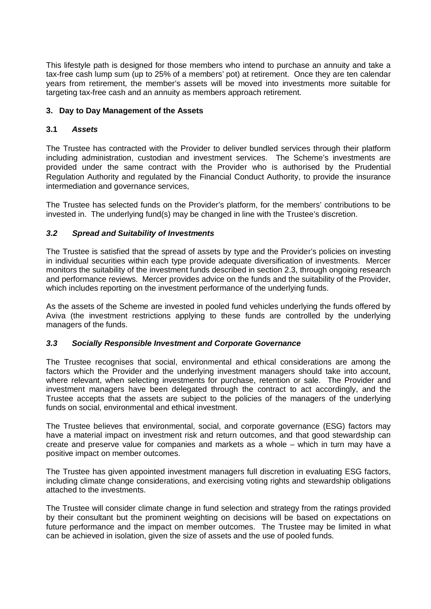This lifestyle path is designed for those members who intend to purchase an annuity and take a tax-free cash lump sum (up to 25% of a members' pot) at retirement. Once they are ten calendar years from retirement, the member's assets will be moved into investments more suitable for targeting tax-free cash and an annuity as members approach retirement.

## **3. Day to Day Management of the Assets**

#### **3.1** *Assets*

The Trustee has contracted with the Provider to deliver bundled services through their platform including administration, custodian and investment services. The Scheme's investments are provided under the same contract with the Provider who is authorised by the Prudential Regulation Authority and regulated by the Financial Conduct Authority, to provide the insurance intermediation and governance services,

The Trustee has selected funds on the Provider's platform, for the members' contributions to be invested in. The underlying fund(s) may be changed in line with the Trustee's discretion.

## *3.2 Spread and Suitability of Investments*

The Trustee is satisfied that the spread of assets by type and the Provider's policies on investing in individual securities within each type provide adequate diversification of investments. Mercer monitors the suitability of the investment funds described in section 2.3, through ongoing research and performance reviews. Mercer provides advice on the funds and the suitability of the Provider, which includes reporting on the investment performance of the underlying funds.

As the assets of the Scheme are invested in pooled fund vehicles underlying the funds offered by Aviva (the investment restrictions applying to these funds are controlled by the underlying managers of the funds.

#### *3.3 Socially Responsible Investment and Corporate Governance*

The Trustee recognises that social, environmental and ethical considerations are among the factors which the Provider and the underlying investment managers should take into account, where relevant, when selecting investments for purchase, retention or sale. The Provider and investment managers have been delegated through the contract to act accordingly, and the Trustee accepts that the assets are subject to the policies of the managers of the underlying funds on social, environmental and ethical investment.

The Trustee believes that environmental, social, and corporate governance (ESG) factors may have a material impact on investment risk and return outcomes, and that good stewardship can create and preserve value for companies and markets as a whole – which in turn may have a positive impact on member outcomes.

The Trustee has given appointed investment managers full discretion in evaluating ESG factors, including climate change considerations, and exercising voting rights and stewardship obligations attached to the investments.

The Trustee will consider climate change in fund selection and strategy from the ratings provided by their consultant but the prominent weighting on decisions will be based on expectations on future performance and the impact on member outcomes. The Trustee may be limited in what can be achieved in isolation, given the size of assets and the use of pooled funds.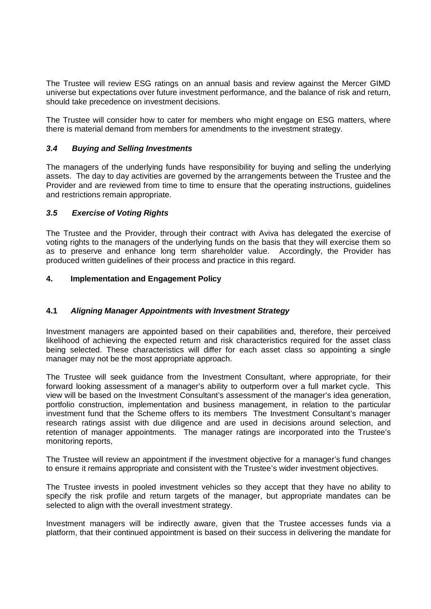The Trustee will review ESG ratings on an annual basis and review against the Mercer GIMD universe but expectations over future investment performance, and the balance of risk and return, should take precedence on investment decisions.

The Trustee will consider how to cater for members who might engage on ESG matters, where there is material demand from members for amendments to the investment strategy.

#### *3.4 Buying and Selling Investments*

The managers of the underlying funds have responsibility for buying and selling the underlying assets. The day to day activities are governed by the arrangements between the Trustee and the Provider and are reviewed from time to time to ensure that the operating instructions, guidelines and restrictions remain appropriate.

#### *3.5 Exercise of Voting Rights*

The Trustee and the Provider, through their contract with Aviva has delegated the exercise of voting rights to the managers of the underlying funds on the basis that they will exercise them so as to preserve and enhance long term shareholder value. Accordingly, the Provider has produced written guidelines of their process and practice in this regard.

#### **4. Implementation and Engagement Policy**

#### **4.1** *Aligning Manager Appointments with Investment Strategy*

Investment managers are appointed based on their capabilities and, therefore, their perceived likelihood of achieving the expected return and risk characteristics required for the asset class being selected. These characteristics will differ for each asset class so appointing a single manager may not be the most appropriate approach.

The Trustee will seek guidance from the Investment Consultant, where appropriate, for their forward looking assessment of a manager's ability to outperform over a full market cycle. This view will be based on the Investment Consultant's assessment of the manager's idea generation, portfolio construction, implementation and business management, in relation to the particular investment fund that the Scheme offers to its members The Investment Consultant's manager research ratings assist with due diligence and are used in decisions around selection, and retention of manager appointments. The manager ratings are incorporated into the Trustee's monitoring reports,

The Trustee will review an appointment if the investment objective for a manager's fund changes to ensure it remains appropriate and consistent with the Trustee's wider investment objectives.

The Trustee invests in pooled investment vehicles so they accept that they have no ability to specify the risk profile and return targets of the manager, but appropriate mandates can be selected to align with the overall investment strategy.

Investment managers will be indirectly aware, given that the Trustee accesses funds via a platform, that their continued appointment is based on their success in delivering the mandate for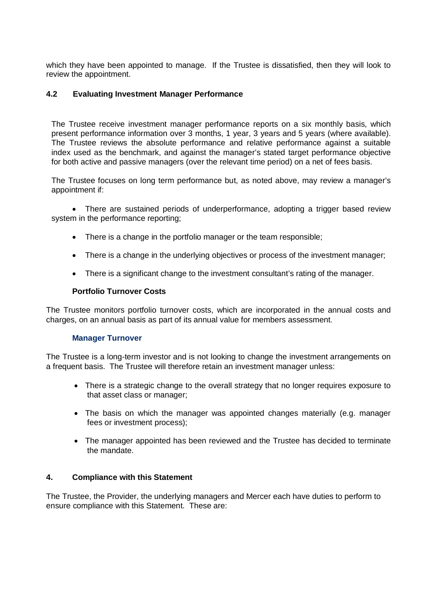which they have been appointed to manage. If the Trustee is dissatisfied, then they will look to review the appointment.

## **4.2 Evaluating Investment Manager Performance**

The Trustee receive investment manager performance reports on a six monthly basis, which present performance information over 3 months, 1 year, 3 years and 5 years (where available). The Trustee reviews the absolute performance and relative performance against a suitable index used as the benchmark, and against the manager's stated target performance objective for both active and passive managers (over the relevant time period) on a net of fees basis.

The Trustee focuses on long term performance but, as noted above, may review a manager's appointment if:

 There are sustained periods of underperformance, adopting a trigger based review system in the performance reporting;

- There is a change in the portfolio manager or the team responsible;
- There is a change in the underlying objectives or process of the investment manager;
- There is a significant change to the investment consultant's rating of the manager.

#### **Portfolio Turnover Costs**

The Trustee monitors portfolio turnover costs, which are incorporated in the annual costs and charges, on an annual basis as part of its annual value for members assessment.

#### **Manager Turnover**

The Trustee is a long-term investor and is not looking to change the investment arrangements on a frequent basis. The Trustee will therefore retain an investment manager unless:

- There is a strategic change to the overall strategy that no longer requires exposure to that asset class or manager;
- The basis on which the manager was appointed changes materially (e.g. manager fees or investment process);
- The manager appointed has been reviewed and the Trustee has decided to terminate the mandate.

#### **4. Compliance with this Statement**

The Trustee, the Provider, the underlying managers and Mercer each have duties to perform to ensure compliance with this Statement. These are: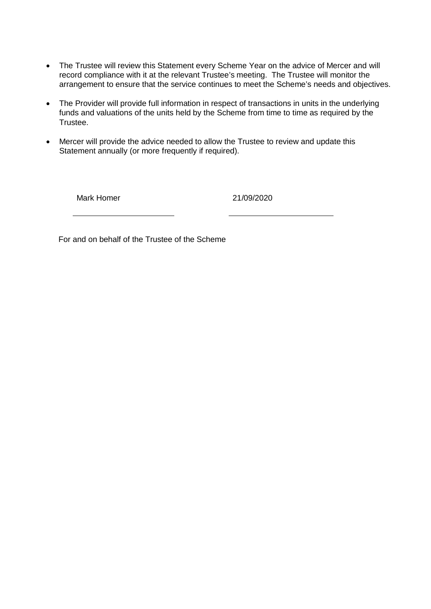- The Trustee will review this Statement every Scheme Year on the advice of Mercer and will record compliance with it at the relevant Trustee's meeting. The Trustee will monitor the arrangement to ensure that the service continues to meet the Scheme's needs and objectives.
- The Provider will provide full information in respect of transactions in units in the underlying funds and valuations of the units held by the Scheme from time to time as required by the Trustee.
- Mercer will provide the advice needed to allow the Trustee to review and update this Statement annually (or more frequently if required).

Mark Homer 21/09/2020

For and on behalf of the Trustee of the Scheme